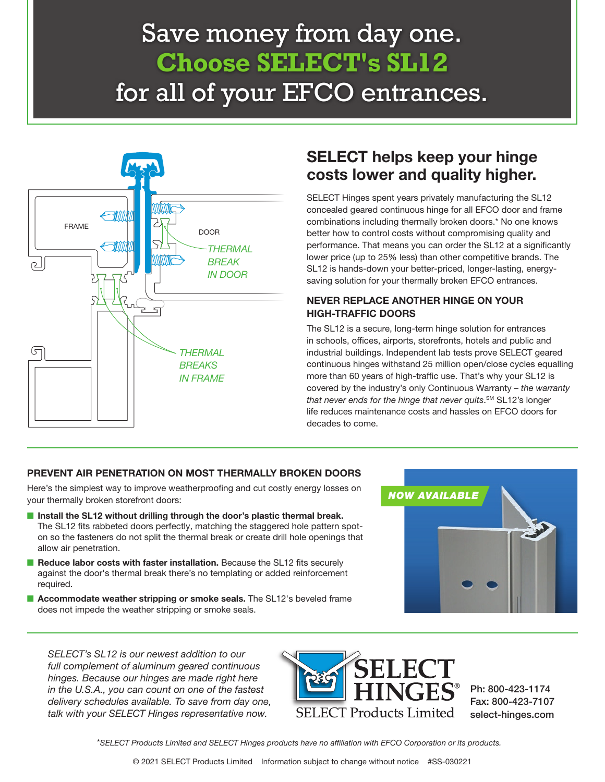# Save money from day one. **Choose SELECT's SL12**  for all of your EFCO entrances.



### SELECT helps keep your hinge costs lower and quality higher.

SELECT Hinges spent years privately manufacturing the SL12 concealed geared continuous hinge for all EFCO door and frame combinations including thermally broken doors.\* No one knows better how to control costs without compromising quality and performance. That means you can order the SL12 at a significantly lower price (up to 25% less) than other competitive brands. The SL12 is hands-down your better-priced, longer-lasting, energysaving solution for your thermally broken EFCO entrances.

#### NEVER REPLACE ANOTHER HINGE ON YOUR HIGH-TRAFFIC DOORS

The SL12 is a secure, long-term hinge solution for entrances in schools, offices, airports, storefronts, hotels and public and industrial buildings. Independent lab tests prove SELECT geared continuous hinges withstand 25 million open/close cycles equalling more than 60 years of high-traffic use. That's why your SL12 is covered by the industry's only Continuous Warranty – the warranty that never ends for the hinge that never quits.<sup>sм</sup> SL12's longer life reduces maintenance costs and hassles on EFCO doors for decades to come.

#### PREVENT AIR PENETRATION ON MOST THERMALLY BROKEN DOORS

Here's the simplest way to improve weatherproofing and cut costly energy losses on your thermally broken storefront doors:

- Install the SL12 without drilling through the door's plastic thermal break. The SL12 fits rabbeted doors perfectly, matching the staggered hole pattern spoton so the fasteners do not split the thermal break or create drill hole openings that allow air penetration.
- Reduce labor costs with faster installation. Because the SL12 fits securely against the door's thermal break there's no templating or added reinforcement required.
- Accommodate weather stripping or smoke seals. The SL12's beveled frame does not impede the weather stripping or smoke seals.



SELECT's SL12 is our newest addition to our full complement of aluminum geared continuous hinges. Because our hinges are made right here in the U.S.A., you can count on one of the fastest delivery schedules available. To save from day one, talk with your SELECT Hinges representative now.



Ph: 800-423-1174 Fax: 800-423-7107 select-hinges.com

\*SELECT Products Limited and SELECT Hinges products have no affiliation with EFCO Corporation or its products.